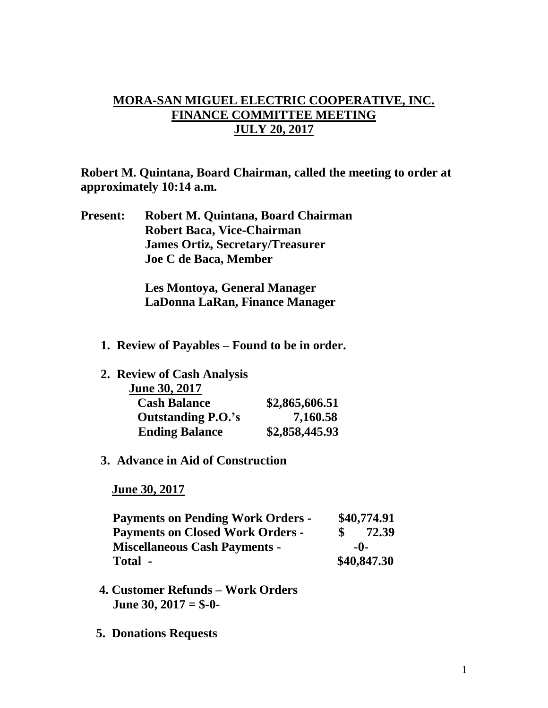## **MORA-SAN MIGUEL ELECTRIC COOPERATIVE, INC. FINANCE COMMITTEE MEETING JULY 20, 2017**

**Robert M. Quintana, Board Chairman, called the meeting to order at approximately 10:14 a.m.**

**Present: Robert M. Quintana, Board Chairman Robert Baca, Vice-Chairman James Ortiz, Secretary/Treasurer Joe C de Baca, Member**

> **Les Montoya, General Manager LaDonna LaRan, Finance Manager**

- **1. Review of Payables – Found to be in order.**
- **2. Review of Cash Analysis**

| June 30, 2017             |                |
|---------------------------|----------------|
| <b>Cash Balance</b>       | \$2,865,606.51 |
| <b>Outstanding P.O.'s</b> | 7,160.58       |
| <b>Ending Balance</b>     | \$2,858,445.93 |

## **3. Advance in Aid of Construction**

 **June 30, 2017**

| <b>Payments on Pending Work Orders -</b> |     | \$40,774.91 |
|------------------------------------------|-----|-------------|
| <b>Payments on Closed Work Orders -</b>  |     | 72.39       |
| <b>Miscellaneous Cash Payments -</b>     | -0- |             |
| Total -                                  |     | \$40,847.30 |

- **4. Customer Refunds – Work Orders June 30, 2017 = \$-0-**
- **5. Donations Requests**